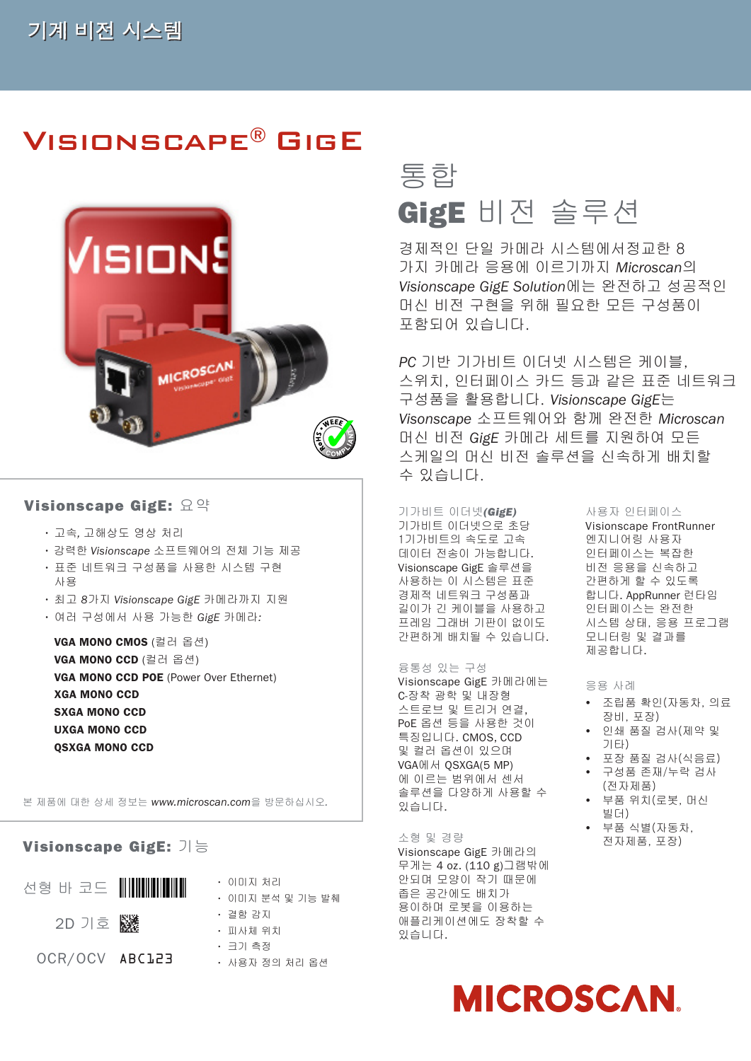## Visionscape® GigE



### Visionscape GigE: 요약 기가비트 이더넷*(GigE)*

- 고속*,* 고해상도 영상 처리
- 강력한 *Visionscape* 소프트웨어의 전체 기능 제공
- 표준 네트워크 구성품을 사용한 시스템 구현 사용
- 최고 *8*가지 *Visionscape GigE* 카메라까지 지원
- 여러 구성에서 사용 가능한 *GigE* 카메라*:*

VGA MONO CMOS (컬러 옵션) VGA Mono CCD (컬러 옵션) VGA MONO CCD POE (Power Over Ethernet) XGA MONO CCD SXGA MONO CCD UXGA Mono CCD QSXGA Mono CCD

본 제품에 대한 상세 정보는 *www.microscan.com*을 방문하십시오*.*

### Visionscape GigE: 기능

| 선형 바 코드 ║║║║║║║ | • 이미지 처리<br>ㆍ 이미지 분석 및 기능 발췌 |
|-----------------|------------------------------|
|                 | ㆍ 결함 감지                      |
| 2D 기호   ▒       | • 피사체 위치                     |
|                 | ㆍ ㅋ기 측정                      |
| OCR/OCV ABC123  | ㆍ 사용자 정의 처리 옵션               |

# 통합 GigE 비전 솔루션

경제적인 단일 카메라 시스템에서정교한 8 가지 카메라 응용에 이르기까지 *Microscan*의 *Visionscape GigE Solution*에는 완전하고 성공적인 머신 비전 구현을 위해 필요한 모든 구성품이 포함되어 있습니다.

*PC* 기반 기가비트 이더넷 시스템은 케이블, 스위치, 인터페이스 카드 등과 같은 표준 네트워크 구성품을 활용합니다. *Visionscape GigE*는 *Visonscape* 소프트웨어와 함께 완전한 *Microscan* 머신 비전 *GigE* 카메라 세트를 지원하여 모든 스케일의 머신 비전 솔루션을 신속하게 배치할 수 있습니다.

기가비트 이더넷으로 초당 1기가비트의 속도로 고속 데이터 전송이 가능합니다. Visionscape GigE 솔루션을 사용하는 이 시스템은 표준 경제적 네트워크 구성품과 길이가 긴 케이블을 사용하고 프레임 그래버 기판이 없이도 간편하게 배치될 수 있습니다.

#### 융통성 있는 구성

Visionscape GigE 카메라에는 C-장착 광학 및 내장형 스트로브 및 트리거 연결, PoE 옵션 등을 사용한 것이 특징입니다. CMOS, CCD 및 컬러 옵션이 있으며 VGA에서 QSXGA(5 MP) 에 이르는 범위에서 센서 솔루션을 다양하게 사용할 수 있습니다.

#### 소형 및 경량

Visionscape GigE 카메라의 무게는 4 oz. (110 g)그램밖에 안되며 모양이 작기 때문에 좁은 공간에도 배치가 용이하며 로봇을 이용하는 애플리케이션에도 장착할 수 있습니다.

### 사용자 인터페이스

Visionscape FrontRunner 엔지니어링 사용자 인터페이스는 복잡한 비전 응용을 신속하고 간편하게 할 수 있도록 합니다. AppRunner 런타임 인터페이스는 완전한 시스템 상태, 응용 프로그램 모니터링 및 결과를 제공합니다.

#### 응용 사례

- 조립품 확인(자동차, 의료 장비, 포장)
- 인쇄 품질 검사(제약 및 기타)
- y 포장 품질 검사(식음료)
- 구성품 존재/누락 검사 (전자제품)
- y 부품 위치(로봇, 머신 빌더)
- 부품 식별(자동차, 전자제품, 포장)